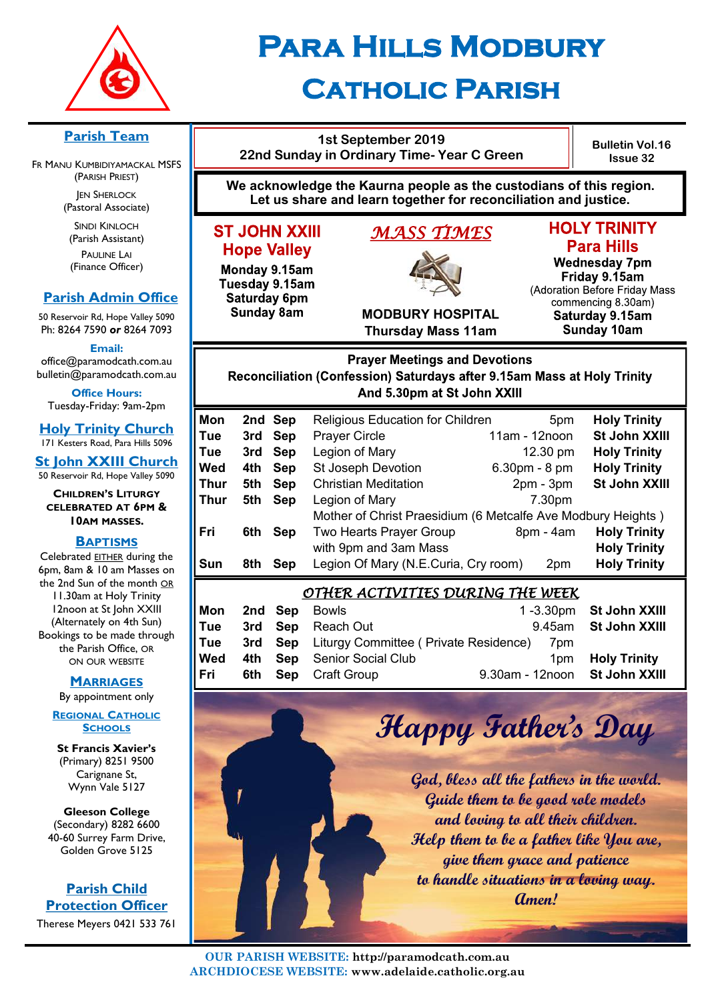

# **Para Hills Modbury Catholic Parish**

### **Parish Team**

FR MANU KUMBIDIYAMACKAL MSFS (PARISH PRIEST) **JEN SHERLOCK** 

(Pastoral Associate)

SINDI KINLOCH (Parish Assistant) PAULINE LAI (Finance Officer)

## **Parish Admin Office**

50 Reservoir Rd, Hope Valley 5090 Ph: 8264 7590 *or* 8264 7093

**Email:** 

office@paramodcath.com.au bulletin@paramodcath.com.au

**Office Hours:**  Tuesday-Friday: 9am-2pm

**Holy Trinity Church** 171 Kesters Road, Para Hills 5096

**St John XXIII Church** 50 Reservoir Rd, Hope Valley 5090

**CHILDREN'S LITURGY CELEBRATED AT 6PM & 10AM MASSES.**

#### **BAPTISMS**

Celebrated EITHER during the 6pm, 8am & 10 am Masses on the 2nd Sun of the month OR 11.30am at Holy Trinity 12noon at St John XXIII (Alternately on 4th Sun) Bookings to be made through the Parish Office, OR ON OUR WEBSITE

#### **MARRIAGES**

By appointment only

**REGIONAL CATHOLIC SCHOOLS**

**St Francis Xavier's**  (Primary) 8251 9500 Carignane St, Wynn Vale 5127

**Gleeson College**  (Secondary) 8282 6600 40-60 Surrey Farm Drive, Golden Grove 5125

**Parish Child Protection Officer** Therese Meyers 0421 533 761



**1st September 2019 22nd Sunday in Ordinary Time- Year C Green** 

**ST JOHN XXIII** 

**Hope Valley** 

Monday 9.15am

Tuesday 9.15am

Saturday 6pm

**Sunday 8am** 



## **HOLY TRINITY Para Hills**

**Bulletin Vol.16 Issue 32**

**Wednesday 7pm** Friday 9.15am (Adoration Before Friday Mass commencing 8.30am) Saturday 9.15am **Sunday 10am** 

**MODBURY HOSPITAL Thursday Mass 11am**

## **Prayer Meetings and Devotions** Reconciliation (Confession) Saturdays after 9.15am Mass at Holy Trinity And 5.30pm at St John XXIII

| <b>Mon</b>                              |     | 2nd Sep    | Religious Education for Children                             | 5pm            | <b>Holy Trinity</b>  |  |  |
|-----------------------------------------|-----|------------|--------------------------------------------------------------|----------------|----------------------|--|--|
| Tue                                     | 3rd | <b>Sep</b> | <b>Prayer Circle</b>                                         | 11am - 12noon  | <b>St John XXIII</b> |  |  |
| Tue                                     | 3rd | Sep        | Legion of Mary                                               | 12.30 pm       | <b>Holy Trinity</b>  |  |  |
| Wed                                     | 4th | <b>Sep</b> | <b>St Joseph Devotion</b>                                    | $6.30pm - 8pm$ | <b>Holy Trinity</b>  |  |  |
| Thur                                    | 5th | <b>Sep</b> | <b>Christian Meditation</b>                                  | $2pm - 3pm$    | St John XXIII        |  |  |
| Thur                                    | 5th | <b>Sep</b> | Legion of Mary                                               | 7.30pm         |                      |  |  |
|                                         |     |            | Mother of Christ Praesidium (6 Metcalfe Ave Modbury Heights) |                |                      |  |  |
| Fri                                     | 6th | <b>Sep</b> | Two Hearts Prayer Group                                      | $8pm - 4am$    | <b>Holy Trinity</b>  |  |  |
|                                         |     |            | with 9pm and 3am Mass                                        |                | <b>Holy Trinity</b>  |  |  |
| Sun                                     | 8th | <b>Sep</b> | Legion Of Mary (N.E.Curia, Cry room)                         | 2pm            | <b>Holy Trinity</b>  |  |  |
| <u>OTHER ACTIVITIES DURING THE WEEK</u> |     |            |                                                              |                |                      |  |  |
| Mon                                     | 2nd | Sep        | <b>Bowls</b>                                                 | $1 - 3.30$ pm  | <b>St John XXIII</b> |  |  |
| Tue                                     | 3rd | <b>Sep</b> | Reach Out                                                    | 9.45am         | <b>St John XXIII</b> |  |  |
| Tue                                     | 3rd | <b>Sep</b> | Liturgy Committee (Private Residence)                        | 7pm            |                      |  |  |

**Wed 4th Sep** Senior Social Club 1pm 1pm **Holy Trinity Fri 6th Sep** Craft Group 9.30am - 12noon **St John XXIII**

**Happy Father's Day**

**God, bless all the fathers in the world. Guide them to be good role models and loving to all their children. Help them to be a father like You are, give them grace and patience to handle situations in a loving way. Amen!**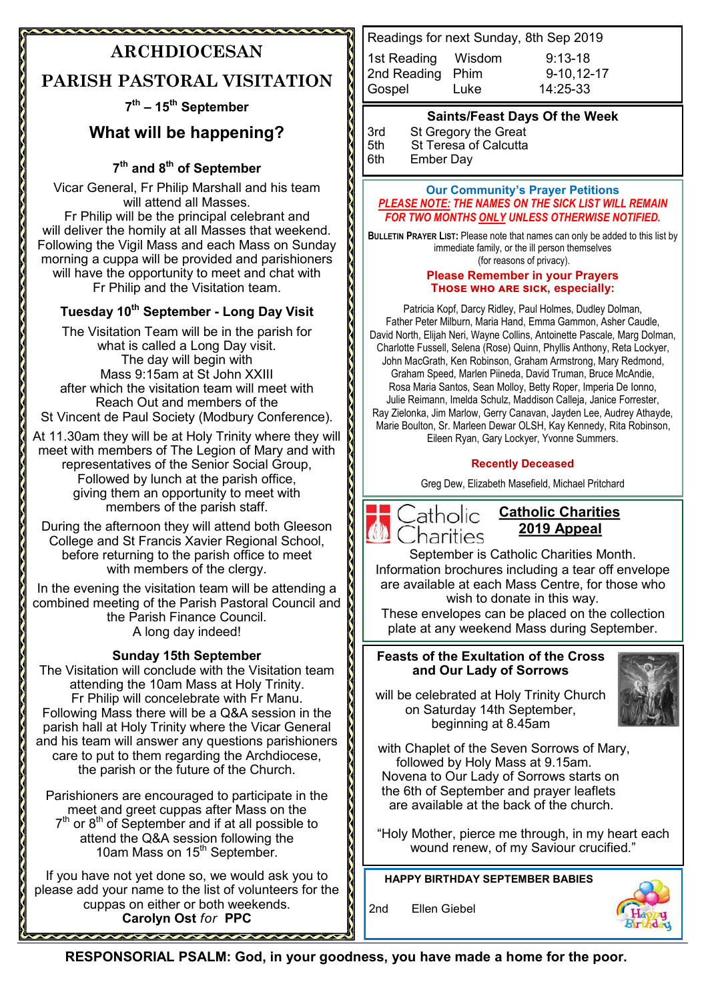# **ARCHDIOCESAN**

*<u>ALAMANAWA</u>* 

# **PARISH PASTORAL VISITATION**

## **7 th – 15th September**

# **What will be happening?**

## **7 th and 8th of September**

Vicar General, Fr Philip Marshall and his team will attend all Masses. Fr Philip will be the principal celebrant and will deliver the homily at all Masses that weekend. Following the Vigil Mass and each Mass on Sunday morning a cuppa will be provided and parishioners will have the opportunity to meet and chat with Fr Philip and the Visitation team.

## **Tuesday 10th September - Long Day Visit**

The Visitation Team will be in the parish for what is called a Long Day visit. The day will begin with Mass 9:15am at St John XXIII after which the visitation team will meet with Reach Out and members of the St Vincent de Paul Society (Modbury Conference).

At 11.30am they will be at Holy Trinity where they will meet with members of The Legion of Mary and with representatives of the Senior Social Group, Followed by lunch at the parish office, giving them an opportunity to meet with members of the parish staff.

During the afternoon they will attend both Gleeson College and St Francis Xavier Regional School, before returning to the parish office to meet with members of the clergy.

In the evening the visitation team will be attending a combined meeting of the Parish Pastoral Council and **I** the Parish Finance Council. A long day indeed!

### **Sunday 15th September**

The Visitation will conclude with the Visitation team attending the 10am Mass at Holy Trinity. Fr Philip will concelebrate with Fr Manu. Following Mass there will be a Q&A session in the parish hall at Holy Trinity where the Vicar General and his team will answer any questions parishioners care to put to them regarding the Archdiocese, the parish or the future of the Church.

Parishioners are encouraged to participate in the meet and greet cuppas after Mass on the  $7<sup>th</sup>$  or  $8<sup>th</sup>$  of September and if at all possible to attend the Q&A session following the 10am Mass on 15<sup>th</sup> September.

If you have not yet done so, we would ask you to please add your name to the list of volunteers for the cuppas on either or both weekends. **Carolyn Ost** *for* **PPC**

Readings for next Sunday, 8th Sep 2019 1st Reading Wisdom 9:13-18 2nd Reading Phim 9-10,12-17 Gospel Luke 14:25-33

### **Saints/Feast Days Of the Week**

3rd St Gregory the Great<br>5th St Teresa of Calcutta 5th St Teresa of Calcutta<br>6th Ember Dav Ember Day

#### **Our Community's Prayer Petitions**  *PLEASE NOTE: THE NAMES ON THE SICK LIST WILL REMAIN FOR TWO MONTHS ONLY UNLESS OTHERWISE NOTIFIED.*

**BULLETIN PRAYER LIST:** Please note that names can only be added to this list by immediate family, or the ill person themselves (for reasons of privacy).

#### **Please Remember in your Prayers Those who are sick, especially:**

Patricia Kopf, Darcy Ridley, Paul Holmes, Dudley Dolman, Father Peter Milburn, Maria Hand, Emma Gammon, Asher Caudle, David North, Elijah Neri, Wayne Collins, Antoinette Pascale, Marg Dolman, Charlotte Fussell, Selena (Rose) Quinn, Phyllis Anthony, Reta Lockyer, John MacGrath, Ken Robinson, Graham Armstrong, Mary Redmond, Graham Speed, Marlen Piineda, David Truman, Bruce McAndie, Rosa Maria Santos, Sean Molloy, Betty Roper, Imperia De Ionno, Julie Reimann, Imelda Schulz, Maddison Calleja, Janice Forrester, Ray Zielonka, Jim Marlow, Gerry Canavan, Jayden Lee, Audrey Athayde, Marie Boulton, Sr. Marleen Dewar OLSH, Kay Kennedy, Rita Robinson, Eileen Ryan, Gary Lockyer, Yvonne Summers.

#### **Recently Deceased**

Greg Dew, Elizabeth Masefield, Michael Pritchard



## **Catholic Charities 2019 Appeal**

September is Catholic Charities Month. Information brochures including a tear off envelope are available at each Mass Centre, for those who wish to donate in this way.

These envelopes can be placed on the collection plate at any weekend Mass during September.

#### **Feasts of the Exultation of the Cross and Our Lady of Sorrows**

will be celebrated at Holy Trinity Church on Saturday 14th September, beginning at 8.45am



 with Chaplet of the Seven Sorrows of Mary, followed by Holy Mass at 9.15am. Novena to Our Lady of Sorrows starts on the 6th of September and prayer leaflets are available at the back of the church.

"Holy Mother, pierce me through, in my heart each wound renew, of my Saviour crucified."

**HAPPY BIRTHDAY SEPTEMBER BABIES**

2nd Ellen Giebel



**RESPONSORIAL PSALM: God, in your goodness, you have made a home for the poor.**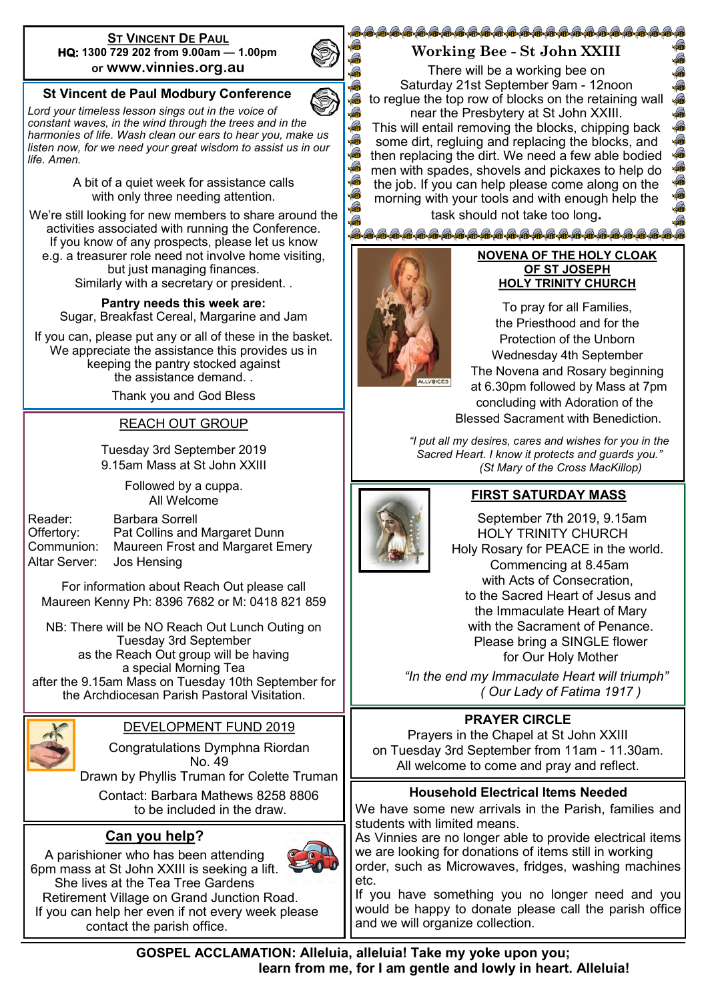#### **ST VINCENT DE PAUL HQ: 1300 729 202 from 9.00am — 1.00pm or www.vinnies.org.au**

## **St Vincent de Paul Modbury Conference**

*Lord your timeless lesson sings out in the voice of constant waves, in the wind through the trees and in the harmonies of life. Wash clean our ears to hear you, make us listen now, for we need your great wisdom to assist us in our life. Amen.*

> A bit of a quiet week for assistance calls with only three needing attention.

We're still looking for new members to share around the activities associated with running the Conference. If you know of any prospects, please let us know e.g. a treasurer role need not involve home visiting, but just managing finances. Similarly with a secretary or president. .

**Pantry needs this week are:**  Sugar, Breakfast Cereal, Margarine and Jam

If you can, please put any or all of these in the basket. We appreciate the assistance this provides us in keeping the pantry stocked against the assistance demand. .

Thank you and God Bless

### REACH OUT GROUP

Tuesday 3rd September 2019 9.15am Mass at St John XXIII

> Followed by a cuppa. All Welcome

| Reader:                   | <b>Barbara Sorrell</b>           |
|---------------------------|----------------------------------|
| Offertory:                | Pat Collins and Margaret Dunn    |
| Communion:                | Maureen Frost and Margaret Emery |
| Altar Server: Jos Hensing |                                  |

For information about Reach Out please call Maureen Kenny Ph: 8396 7682 or M: 0418 821 859

NB: There will be NO Reach Out Lunch Outing on Tuesday 3rd September as the Reach Out group will be having a special Morning Tea after the 9.15am Mass on Tuesday 10th September for the Archdiocesan Parish Pastoral Visitation.



## DEVELOPMENT FUND 2019

Congratulations Dymphna Riordan No. 49

Drawn by Phyllis Truman for Colette Truman

 Contact: Barbara Mathews 8258 8806 to be included in the draw.

## **Can you help?**



A parishioner who has been attending 6pm mass at St John XXIII is seeking a lift. She lives at the Tea Tree Gardens Retirement Village on Grand Junction Road. If you can help her even if not every week please contact the parish office.

## @@@@@@@@@@@@@@@@@@@@@@@@@@@@ **Working Bee - St John XXIII**

There will be a working bee on Saturday 21st September 9am - 12noon to reglue the top row of blocks on the retaining wall near the Presbytery at St John XXIII.

This will entail removing the blocks, chipping back some dirt, regluing and replacing the blocks, and then replacing the dirt. We need a few able bodied men with spades, shovels and pickaxes to help do the job. If you can help please come along on the morning with your tools and with enough help the task should not take too long**.**



#### **NOVENA OF THE HOLY CLOAK OF ST JOSEPH HOLY TRINITY CHURCH**

To pray for all Families, the Priesthood and for the Protection of the Unborn Wednesday 4th September The Novena and Rosary beginning at 6.30pm followed by Mass at 7pm concluding with Adoration of the Blessed Sacrament with Benediction.

*"I put all my desires, cares and wishes for you in the Sacred Heart. I know it protects and guards you." (St Mary of the Cross MacKillop)*



## **FIRST SATURDAY MASS**

 September 7th 2019, 9.15am HOLY TRINITY CHURCH Holy Rosary for PEACE in the world. Commencing at 8.45am with Acts of Consecration. to the Sacred Heart of Jesus and the Immaculate Heart of Mary with the Sacrament of Penance. Please bring a SINGLE flower for Our Holy Mother

 *"In the end my Immaculate Heart will triumph" ( Our Lady of Fatima 1917 )*

## **PRAYER CIRCLE**

Prayers in the Chapel at St John XXIII on Tuesday 3rd September from 11am - 11.30am. All welcome to come and pray and reflect.

### **Household Electrical Items Needed**

We have some new arrivals in the Parish, families and students with limited means.

As Vinnies are no longer able to provide electrical items we are looking for donations of items still in working order, such as Microwaves, fridges, washing machines etc.

If you have something you no longer need and you would be happy to donate please call the parish office and we will organize collection.



Q G  $\mathbb{G}$ A G A  $\mathbb{R}$  $\mathbb{R}$